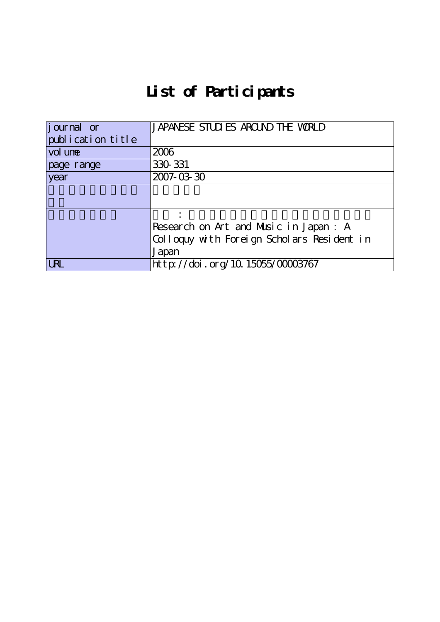## **List of Participants**

| journal or        | JAPANESE STUDIES AROUND THE WORLD          |
|-------------------|--------------------------------------------|
| publication title |                                            |
| vol une           | 2006                                       |
| page range        | 330 331                                    |
| year              | 2007-03-30                                 |
|                   |                                            |
|                   |                                            |
|                   |                                            |
|                   | Research on Art and Music in Japan: A      |
|                   | Colloquy with Foreign Scholars Resident in |
|                   | Japan                                      |
| <b>URL</b>        | http://doi.org/10.15055/00003767           |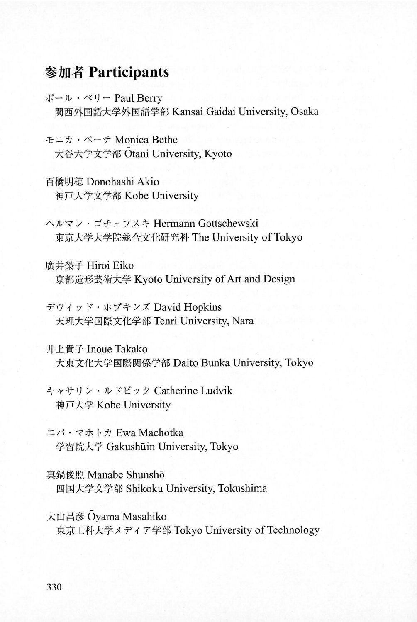## 参加者 Participants

ポール・ベリー Paul Berry 関西外国語大学外国語学部 Kansai Gaidai University, Osaka

モニカ・ベーテ Monica Bethe 大谷大学文学部 Otani University, Kyoto

百橋明穂 Donohashi Akio 神戸大学文学部 Kobe University

ヘルマン・ゴチェフスキ Hermann Gottschewski 東京大学大学院総合文化研究科 The University of Tokyo

廣井榮子 Hiroi Eiko 京都造形芸術大学 Kyoto University of Art and Design

デヴィッド・ホプキンズ David Hopkins 天理大学国際文化学部 Tenri University, Nara

井上貴子 Inoue Takako 大東文化大学国際関係学部 Daito Bunka University, Tokyo

キャサリン・ルドビック Catherine Ludvik 神戸大学 Kobe University

エバ・マホトカ Ewa Machotka 学習院大学 Gakushūin University, Tokyo

真鍋俊照 Manabe Shunshō 四国大学文学部 Shikoku University, Tokushima

大山昌彦 Oyama Masahiko 東京工科大学メディア学部 Tokyo University of Technology